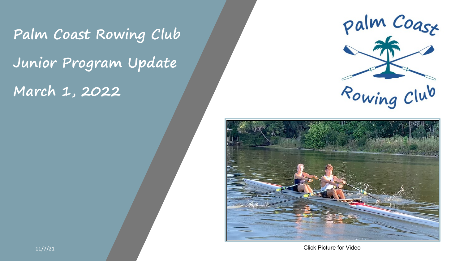# **Palm Coast Rowing Club Junior Program Update March 1, 2022**

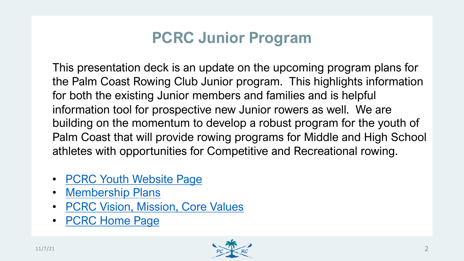# **PCRC Junior Progra**

[This presentation dec](https://www.palmcoastrowingclub.com/membership)[k is an u](https://www.palmcoastrowingclub.com/youth-programs)pdate on the upcoming program plans for the program plans for the program plans for [the Palm Coast Rowing Club Junior pr](https://www.palmcoastrowingclub.com/vision-mission-core-values)ogram. This highlights in Formation in Formation III. [for both the existing J](https://www.palmcoastrowingclub.com/)unior members and familie information tool for prospective new Junior rowe building on the momentum to develop a robust Palm Coast that will provide rowing programs fo athletes with opportunities for Competitive and I

- PCRC Youth Website Page
- Membership Plans
- PCRC Vision, Mission, Core Values
- PCRC Home Page

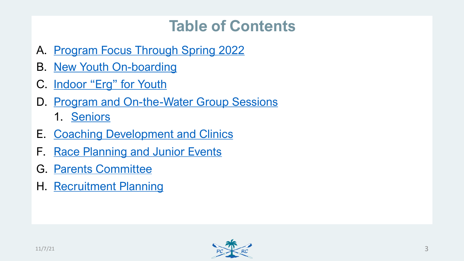# **[Table of](#page-10-0) Contents**

- A. [Program Focus Thr](#page-11-0)ough Spring 2022
- B. [New Youth On-boardi](#page-12-0)ng
- C. Indoor "Erg" for Youth
- D. Program and On-the-Water Group Sessions 1. Seniors
- E. Coaching Development and Clinics
- F. Race Planning and Junior Events
- G. Parents Committee
- H. Recruitment Planning

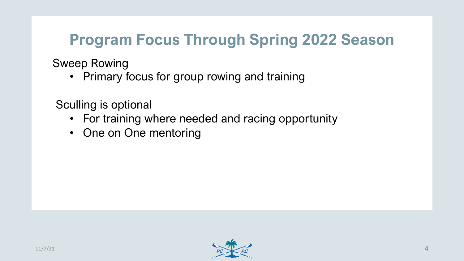### **Program Focus Through Spring 2022 Season**

Sweep Rowing

• Primary focus for group rowing and training

Sculling is optional

- For training where needed and racing opportunity
- One on One mentoring

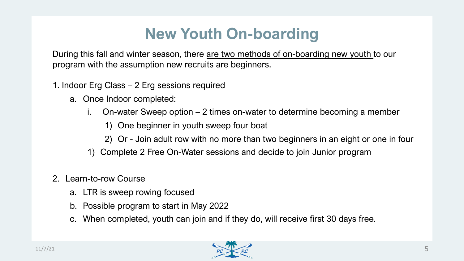### **New Youth On-boarding**

During this fall and winter season, there are two methods of on-boarding new youth to our program with the assumption new recruits are beginners.

- 1. Indoor Erg Class 2 Erg sessions required
	- a. Once Indoor completed:
		- i. On-water Sweep option 2 times on-water to determine becoming a member
			- 1) One beginner in youth sweep four boat
			- 2) Or Join adult row with no more than two beginners in an eight or one in four
		- 1) Complete 2 Free On-Water sessions and decide to join Junior program
- 2. Learn-to-row Course
	- a. LTR is sweep rowing focused
	- b. Possible program to start in May 2022
	- c. When completed, youth can join and if they do, will receive first 30 days free.

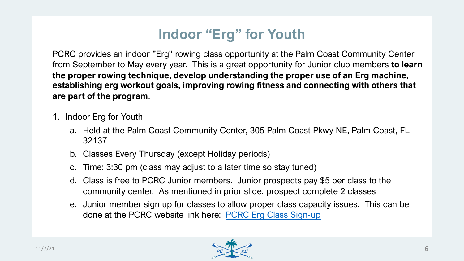# **Indoor "Erg" for Youth**

PCRC provides an indoor "Erg" rowing class opportunity at the from September to May every year. This is a great opportunity for the proper rowing technique, develop understanding the pro **establishing erg workout goals, improving [rowing fitness and conn](https://www.palmcoastrowingclub.com/indoor-rowing)ect that**  $\alpha$ **are part of the program**.

- 1. Indoor Erg for Youth
	- a. Held at the Palm Coast Community Center, 305 Palm Co 32137
	- b. Classes Every Thursday (except Holiday periods)
	- c. Time: 3:30 pm (class may adjust to a later time so stay to
	- d. Class is free to PCRC Junior members. Junior prospect community center. As mentioned in prior slide, prospedent community conter.
	- e. Junior member sign up for classes to allow proper class done at the PCRC website link here: PCRC Erg Class S

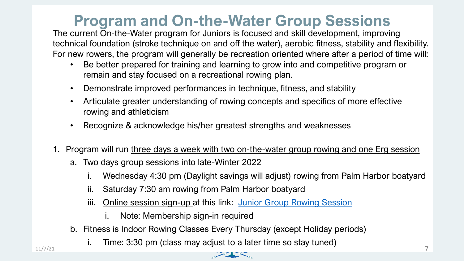#### **Program and On-the-Water Group**

The current On-the-Water program for Juniors is focused and s technical foundation (stroke technique on and off the water), aerobic fitness, and flexibility. For new rowers, the program will generally be recreation oriented and  $\epsilon$ 

- Be better prepared for training and learning to grow into remain and stay focused on a recreational rowing plan.
- Demonstrate improved performances in technique, fitne
- Articulate greater understanding of rowing concepts and specifical more effective. rowing and athleticism
- Recognize & acknowledge his/her greatest strengths and Recognize & acknowledge his/her greatest strengths
- 1. Program will run three days a week with two on-the-water group
	- a. Two days group sessions into late-Winter 2022
		- i. Wednesday 4:30 pm (Daylight savings will adjust)  $r$
		- ii. Saturday 7:30 am rowing from Palm Harbor boatyard
		- iii. Online session sign-up at this link: Junior Group R
			- i. Note: Membership sign-in required
	- b. Fitness is Indoor Rowing Classes Every Thursday (exception.
- i. Time:  $3:30$  pm (class may adjust to a later time so  $s$  $11/7/21$   $\ldots$   $\ldots$   $\ldots$   $\ldots$   $\ldots$   $\ldots$   $\ldots$   $\ldots$   $\ldots$   $\ldots$   $\ldots$   $\ldots$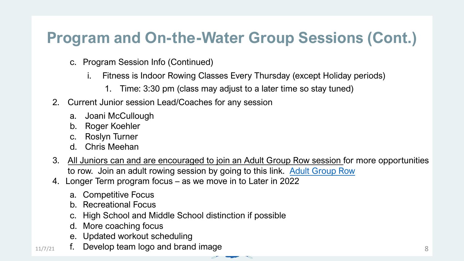# **Program and On-the-Water Group**

- c. Program Session Info (Continued)
	- i. Fitness is Indoor Rowing Classes Every Thursday (
		- 1. Time: 3:30 pm (class may adjust to a later time
- 2. Current Junior session Lead/Coaches for any session
	- a. Joani McCullough
	- b. Roger Koehler
	- c. Roslyn Turner
	- d. Chris Meehan
- 3. All Juniors can and are encouraged to join an Adult Group F to row. Join an adult rowing session by going to this link.  $\overline{A}$
- 4. Longer Term program focus as we move in to Later in 2022
	- a. Competitive Focus
	- b. Recreational Focus
	- c. High School and Middle School distinction if possible
	- d. More coaching focus
	- e. Updated workout scheduling
- $11/7/21$  f. Develop team logo and brand image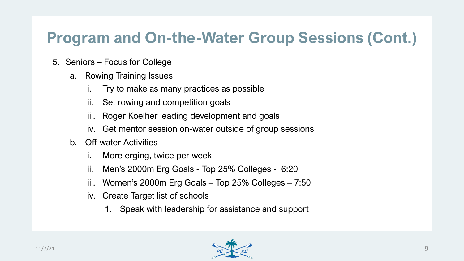### **Program and On-the-Water Group Sessions (Cont.)**

- 5. Seniors Focus for College
	- a. Rowing Training Issues
		- i. Try to make as many practices as possible
		- ii. Set rowing and competition goals
		- iii. Roger Koelher leading development and goals
		- iv. Get mentor session on-water outside of group sessions
	- b. Off-water Activities
		- i. More erging, twice per week
		- ii. Men's 2000m Erg Goals Top 25% Colleges 6:20
		- iii. Women's 2000m Erg Goals Top 25% Colleges 7:50
		- iv. Create Target list of schools
			- 1. Speak with leadership for assistance and support

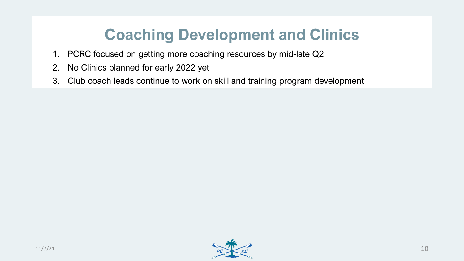## **Coaching Development and Clinics**

- 1. PCRC focused on getting more coaching resources by mid-late Q2
- 2. No Clinics planned for early 2022 yet
- 3. Club coach leads continue to work on skill and training program development

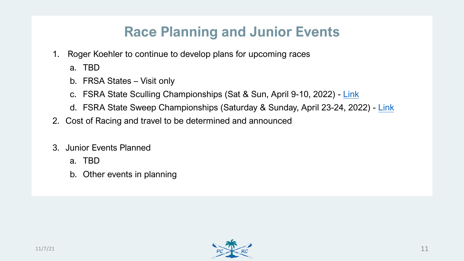### <span id="page-10-0"></span>**Race Planning and Junior**

- 1. Roger Koehler to continue to develop plans for upcoming ra a. TBD
	- b. FRSA States Visit only
	- c. FSRA State Sculling Championships (Sat & Sun, April 9
	- d. FSRA State Sweep Championships (Saturday & Sunday
- 2. Cost of Racing and travel to be determined and announced
- 3. Junior Events Planned
	- a. TBD
	- b. Other events in planning

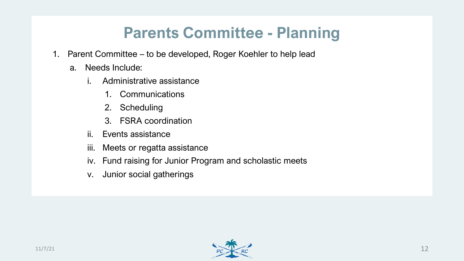### <span id="page-11-0"></span>**Parents Committee - Planning**

- 1. Parent Committee to be developed, Roger Koehler to help lead
	- a. Needs Include:
		- i. Administrative assistance
			- 1. Communications
			- 2. Scheduling
			- 3. FSRA coordination
		- ii. Events assistance
		- iii. Meets or regatta assistance
		- iv. Fund raising for Junior Program and scholastic meets
		- v. Junior social gatherings